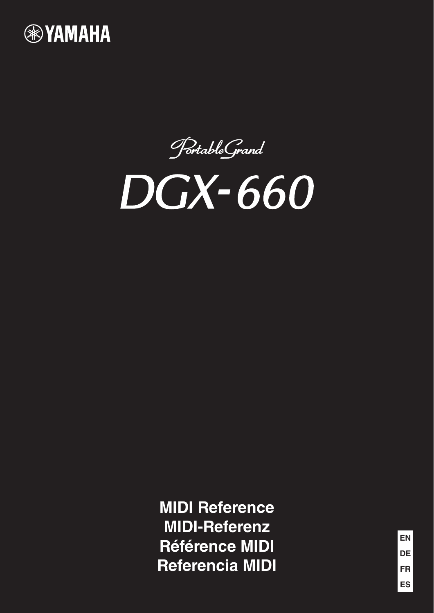

PortableGrand



**MIDI Reference MIDI-Referenz Référence MIDI Referencia MIDI**

**FR ES DE EN**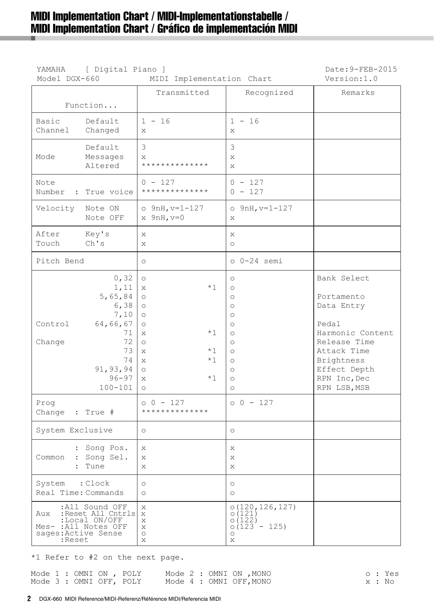# MIDI Implementation Chart / MIDI-Implementationstabelle / MIDI Implementation Chart / Gráfico de implementación MIDI

| YAMAHA<br>Model DGX-660               | Date: 9-FEB-2015<br>Version:1.0                                                                                         |                                                                                                                                                                                                    |                                                                                                                                                                                                                                 |                                                                                                                                                                   |
|---------------------------------------|-------------------------------------------------------------------------------------------------------------------------|----------------------------------------------------------------------------------------------------------------------------------------------------------------------------------------------------|---------------------------------------------------------------------------------------------------------------------------------------------------------------------------------------------------------------------------------|-------------------------------------------------------------------------------------------------------------------------------------------------------------------|
|                                       | Function                                                                                                                | Transmitted                                                                                                                                                                                        | Recognized                                                                                                                                                                                                                      | Remarks                                                                                                                                                           |
| Basic<br>Channel                      | Default<br>Changed                                                                                                      | $1 - 16$<br>X                                                                                                                                                                                      | $1 - 16$<br>X                                                                                                                                                                                                                   |                                                                                                                                                                   |
| Mode                                  | Default<br>Messages<br>Altered                                                                                          | 3<br>$\mathsf{X}$<br>**************                                                                                                                                                                | 3<br>$\mathbf{x}$<br>X                                                                                                                                                                                                          |                                                                                                                                                                   |
| Note<br>Number<br>$\mathcal{L}$       | True voice                                                                                                              | $0 - 127$<br>**************                                                                                                                                                                        | $0 - 127$<br>$0 - 127$                                                                                                                                                                                                          |                                                                                                                                                                   |
| Velocity                              | Note ON<br>Note OFF                                                                                                     | $o$ 9nH, $v=1-127$<br>$x$ 9nH, $v=0$                                                                                                                                                               | $o$ 9nH, $v=1-127$<br>X                                                                                                                                                                                                         |                                                                                                                                                                   |
| After<br>Touch                        | Key's<br>Ch's                                                                                                           | $\mathbf{x}$<br>$\mathsf{X}$                                                                                                                                                                       | X<br>$\circ$                                                                                                                                                                                                                    |                                                                                                                                                                   |
| Pitch Bend                            |                                                                                                                         | $\circlearrowright$                                                                                                                                                                                | $o$ $0-24$ semi                                                                                                                                                                                                                 |                                                                                                                                                                   |
| Control<br>Change                     | 0, 32<br>1,11<br>5,65,84<br>6, 38<br>7,10<br>64,66,67<br>71<br>72<br>73<br>74<br>91, 93, 94<br>$96 - 97$<br>$100 - 101$ | $\circ$<br>$*1$<br>X<br>$\circlearrowright$<br>$\circ$<br>$\circ$<br>$\circ$<br>$*1$<br>$\mathbf{x}$<br>$\circ$<br>$*1$<br>$\mathbf{x}$<br>$*1$<br>$\mathbf{x}$<br>$\circ$<br>$*1$<br>X<br>$\circ$ | $\circ$<br>$\circlearrowright$<br>$\circlearrowright$<br>$\circlearrowright$<br>$\circlearrowright$<br>$\circlearrowright$<br>$\circ$<br>$\circlearrowright$<br>$\circ$<br>$\circ$<br>$\circ$<br>$\circ$<br>$\circlearrowright$ | Bank Select<br>Portamento<br>Data Entry<br>Pedal<br>Harmonic Content<br>Release Time<br>Attack Time<br>Brightness<br>Effect Depth<br>RPN Inc, Dec<br>RPN LSB, MSB |
| Prog<br>Change : True #               |                                                                                                                         | $00 - 127$<br>**************                                                                                                                                                                       | $00 - 127$                                                                                                                                                                                                                      |                                                                                                                                                                   |
| System Exclusive                      |                                                                                                                         | $\circ$                                                                                                                                                                                            | $\circ$                                                                                                                                                                                                                         |                                                                                                                                                                   |
|                                       | : Song Pos.<br>Common : Song Sel.<br>: Tune                                                                             | X<br>X<br>X                                                                                                                                                                                        | X<br>X<br>X                                                                                                                                                                                                                     |                                                                                                                                                                   |
| System : Clock<br>Real Time: Commands |                                                                                                                         | $\circ$<br>$\circ$                                                                                                                                                                                 | $\circ$<br>$\circ$                                                                                                                                                                                                              |                                                                                                                                                                   |
| Aux<br>sages: Active Sense<br>:Reset  | :All Sound OFF<br>:Reset All Cntrls x<br>:Local ON/OFF<br>Mes- : All Notes OFF                                          | X<br>X<br>X<br>$\circ$<br>X                                                                                                                                                                        | 0(120, 126, 127)<br>0(121)<br>0(122)<br>$0(123 - 125)$<br>$\circ$<br>Χ                                                                                                                                                          |                                                                                                                                                                   |

\*1 Refer to #2 on the next page.

|  |  | Mode 1 : OMNI ON , POLY |  |  | Mode 2 : OMNI ON ,MONO  |  | o : Yes |
|--|--|-------------------------|--|--|-------------------------|--|---------|
|  |  | Mode 3 : OMNI OFF, POLY |  |  | Mode 4 : OMNI OFF, MONO |  | x : No  |